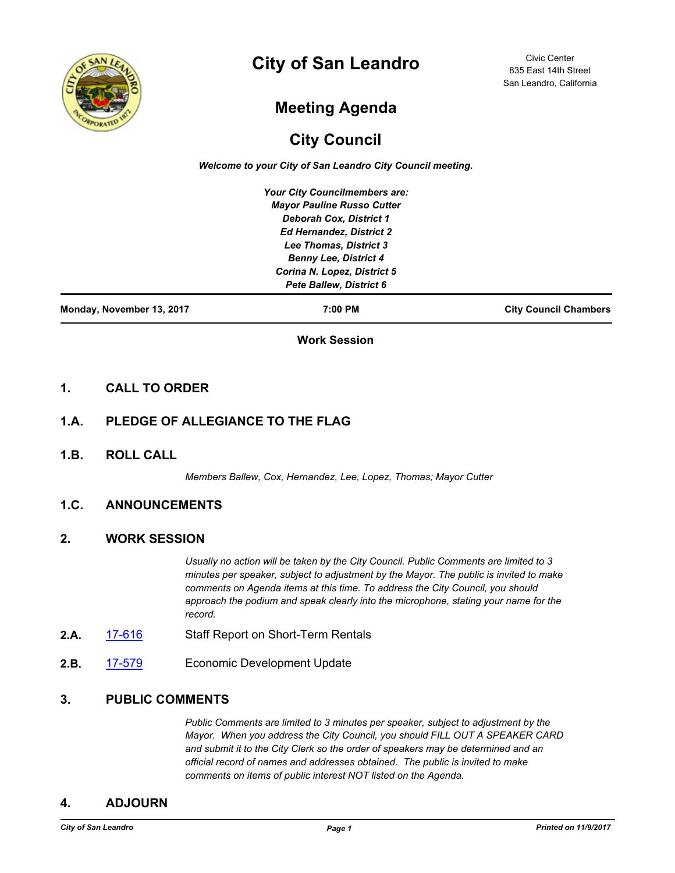

# **City of San Leandro**

Civic Center 835 East 14th Street San Leandro, California

# **Meeting Agenda**

## **City Council**

*Welcome to your City of San Leandro City Council meeting.*

*Your City Councilmembers are: Mayor Pauline Russo Cutter Deborah Cox, District 1 Ed Hernandez, District 2 Lee Thomas, District 3 Benny Lee, District 4 Corina N. Lopez, District 5 Pete Ballew, District 6*

**Monday, November 13, 2017 7:00 PM City Council Chambers**

**Work Session**

#### **1. CALL TO ORDER**

### **1.A. PLEDGE OF ALLEGIANCE TO THE FLAG**

**1.B. ROLL CALL**

*Members Ballew, Cox, Hernandez, Lee, Lopez, Thomas; Mayor Cutter*

## **1.C. ANNOUNCEMENTS**

#### **2. WORK SESSION**

*Usually no action will be taken by the City Council. Public Comments are limited to 3 minutes per speaker, subject to adjustment by the Mayor. The public is invited to make comments on Agenda items at this time. To address the City Council, you should approach the podium and speak clearly into the microphone, stating your name for the record.*

- 2.A. [17-616](http://sanleandro.legistar.com/gateway.aspx?m=l&id=/matter.aspx?key=5467) Staff Report on Short-Term Rentals
- **2.B.** [17-579](http://sanleandro.legistar.com/gateway.aspx?m=l&id=/matter.aspx?key=5430) Economic Development Update

## **3. PUBLIC COMMENTS**

*Public Comments are limited to 3 minutes per speaker, subject to adjustment by the Mayor. When you address the City Council, you should FILL OUT A SPEAKER CARD and submit it to the City Clerk so the order of speakers may be determined and an official record of names and addresses obtained. The public is invited to make comments on items of public interest NOT listed on the Agenda.*

#### **4. ADJOURN**